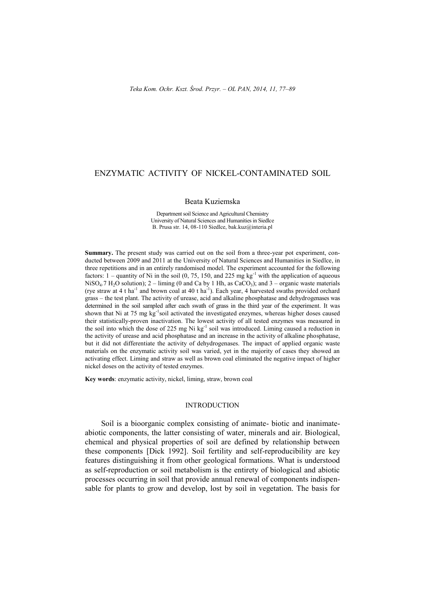# ENZYMATIC ACTIVITY OF NICKEL-CONTAMINATED SOIL

#### Beata Kuziemska

Department soil Science and Agricultural Chemistry University of Natural Sciences and Humanities in Siedlce B. Prusa str. 14, 08-110 Siedlce, [bak.kuz@interia.pl](mailto:bak.kuz@interia.pl)

**Summary.** The present study was carried out on the soil from a three-year pot experiment, conducted between 2009 and 2011 at the University of Natural Sciences and Humanities in Siedlce, in three repetitions and in an entirely randomised model. The experiment accounted for the following factors:  $1$  – quantity of Ni in the soil (0, 75, 150, and 225 mg kg<sup>-1</sup> with the application of aqueous NiSO<sub>4</sub>.7 H<sub>2</sub>O solution); 2 – liming (0 and Ca by 1 Hh, as CaCO<sub>3</sub>); and 3 – organic waste materials (rye straw at 4 t ha<sup>-1</sup> and brown coal at 40 t ha<sup>-1</sup>). Each year, 4 harvested swaths provided orchard grass – the test plant. The activity of urease, acid and alkaline phosphatase and dehydrogenases was determined in the soil sampled after each swath of grass in the third year of the experiment. It was shown that Ni at 75 mg kg<sup>-1</sup>soil activated the investigated enzymes, whereas higher doses caused their statistically-proven inactivation. The lowest activity of all tested enzymes was measured in the soil into which the dose of 225 mg Ni kg<sup>-1</sup> soil was introduced. Liming caused a reduction in the activity of urease and acid phosphatase and an increase in the activity of alkaline phosphatase, but it did not differentiate the activity of dehydrogenases. The impact of applied organic waste materials on the enzymatic activity soil was varied, yet in the majority of cases they showed an activating effect. Liming and straw as well as brown coal eliminated the negative impact of higher nickel doses on the activity of tested enzymes.

**Key words**: enzymatic activity, nickel, liming, straw, brown coal

### INTRODUCTION

Soil is a bioorganic complex consisting of animate- biotic and inanimateabiotic components, the latter consisting of water, minerals and air. Biological, chemical and physical properties of soil are defined by relationship between these components [Dick 1992]. Soil fertility and self-reproducibility are key features distinguishing it from other geological formations. What is understood as self-reproduction or soil metabolism is the entirety of biological and abiotic processes occurring in soil that provide annual renewal of components indispensable for plants to grow and develop, lost by soil in vegetation. The basis for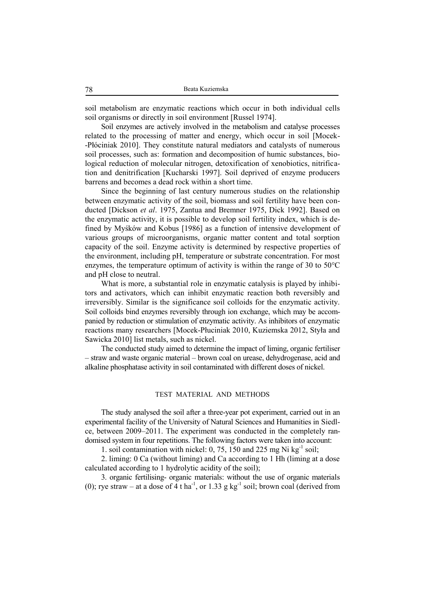soil metabolism are enzymatic reactions which occur in both individual cells soil organisms or directly in soil environment [Russel 1974].

Soil enzymes are actively involved in the metabolism and catalyse processes related to the processing of matter and energy, which occur in soil [Mocek- -Płóciniak 2010]. They constitute natural mediators and catalysts of numerous soil processes, such as: formation and decomposition of humic substances, biological reduction of molecular nitrogen, detoxification of xenobiotics, nitrification and denitrification [Kucharski 1997]. Soil deprived of enzyme producers barrens and becomes a dead rock within a short time.

Since the beginning of last century numerous studies on the relationship between enzymatic activity of the soil, biomass and soil fertility have been conducted [Dickson *et al*. 1975, Zantua and Bremner 1975, Dick 1992]. Based on the enzymatic activity, it is possible to develop soil fertility index, which is defined by Myśków and Kobus [1986] as a function of intensive development of various groups of microorganisms, organic matter content and total sorption capacity of the soil. Enzyme activity is determined by respective properties of the environment, including pH, temperature or substrate concentration. For most enzymes, the temperature optimum of activity is within the range of 30 to 50°C and pH close to neutral.

What is more, a substantial role in enzymatic catalysis is played by inhibitors and activators, which can inhibit enzymatic reaction both reversibly and irreversibly. Similar is the significance soil colloids for the enzymatic activity. Soil colloids bind enzymes reversibly through ion exchange, which may be accompanied by reduction or stimulation of enzymatic activity. As inhibitors of enzymatic reactions many researchers [Mocek-Płuciniak 2010, Kuziemska 2012, Styła and Sawicka 2010] list metals, such as nickel.

The conducted study aimed to determine the impact of liming, organic fertiliser – straw and waste organic material – brown coal on urease, dehydrogenase, acid and alkaline phosphatase activity in soil contaminated with different doses of nickel.

## TEST MATERIAL AND METHODS

The study analysed the soil after a three-year pot experiment, carried out in an experimental facility of the University of Natural Sciences and Humanities in Siedlce, between 2009–2011. The experiment was conducted in the completely randomised system in four repetitions. The following factors were taken into account:

1. soil contamination with nickel: 0, 75, 150 and 225 mg Ni  $kg^{-1}$  soil;

2. liming: 0 Ca (without liming) and Ca according to 1 Hh (liming at a dose calculated according to 1 hydrolytic acidity of the soil);

3. organic fertilising- organic materials: without the use of organic materials (0); rye straw – at a dose of 4 t ha<sup>-1</sup>, or 1.33 g kg<sup>-1</sup> soil; brown coal (derived from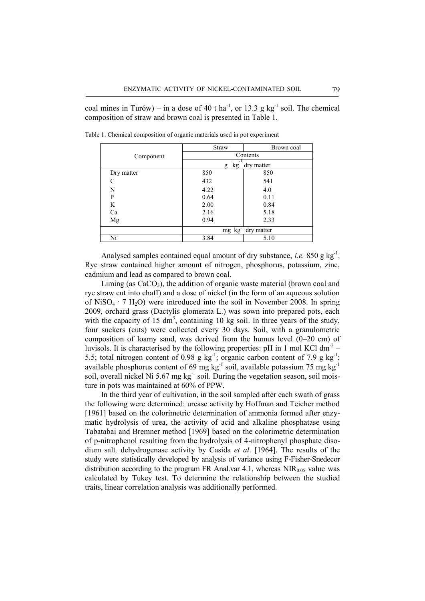coal mines in Turów) – in a dose of 40 t ha<sup>-1</sup>, or 13.3 g kg<sup>-1</sup> soil. The chemical composition of straw and brown coal is presented in Table 1.

|            | <b>Straw</b>                     | Brown coal |  |  |  |  |  |
|------------|----------------------------------|------------|--|--|--|--|--|
| Component  | Contents                         |            |  |  |  |  |  |
|            | - 1<br>dry matter<br>kg<br>g     |            |  |  |  |  |  |
| Dry matter | 850                              | 850        |  |  |  |  |  |
| C          | 432                              | 541        |  |  |  |  |  |
| N          | 4.22                             | 4.0        |  |  |  |  |  |
| P          | 0.64                             | 0.11       |  |  |  |  |  |
| K          | 2.00                             | 0.84       |  |  |  |  |  |
| Ca         | 2.16                             | 5.18       |  |  |  |  |  |
| Mg         | 0.94                             | 2.33       |  |  |  |  |  |
|            | $mg$ kg <sup>-1</sup> dry matter |            |  |  |  |  |  |
| Ni         | 3.84                             | 5.10       |  |  |  |  |  |

Table 1. Chemical composition of organic materials used in pot experiment

Analysed samples contained equal amount of dry substance, *i.e.* 850 g kg<sup>-1</sup>. Rye straw contained higher amount of nitrogen, phosphorus, potassium, zinc, cadmium and lead as compared to brown coal.

Liming (as  $CaCO<sub>3</sub>$ ), the addition of organic waste material (brown coal and rye straw cut into chaff) and a dose of nickel (in the form of an aqueous solution of NiSO<sub>4</sub> · 7 H<sub>2</sub>O) were introduced into the soil in November 2008. In spring 2009, orchard grass (Dactylis glomerata L.) was sown into prepared pots, each with the capacity of 15  $\text{dm}^3$ , containing 10 kg soil. In three years of the study, four suckers (cuts) were collected every 30 days. Soil, with a granulometric composition of loamy sand, was derived from the humus level (0–20 cm) of luvisols. It is characterised by the following properties: pH in 1 mol KCl dm<sup>-3</sup>  $-$ 5.5; total nitrogen content of 0.98 g  $kg^{-1}$ ; organic carbon content of 7.9 g  $kg^{-1}$ ; available phosphorus content of 69 mg kg<sup>-1</sup> soil, available potassium 75 mg kg<sup>-1</sup> soil, overall nickel Ni 5.67 mg kg<sup>-1</sup> soil. During the vegetation season, soil moisture in pots was maintained at 60% of PPW.

In the third year of cultivation, in the soil sampled after each swath of grass the following were determined: urease activity by Hoffman and Teicher method [1961] based on the colorimetric determination of ammonia formed after enzymatic hydrolysis of urea, the activity of acid and alkaline phosphatase using Tabatabai and Bremner method [1969] based on the colorimetric determination of p-nitrophenol resulting from the hydrolysis of 4-nitrophenyl phosphate disodium salt*,* dehydrogenase activity by Casida *et al*. [1964]. The results of the study were statistically developed by analysis of variance using F-Fisher-Snedecor distribution according to the program FR Anal.var 4.1, whereas  $NIR<sub>0.05</sub>$  value was calculated by Tukey test. To determine the relationship between the studied traits, linear correlation analysis was additionally performed.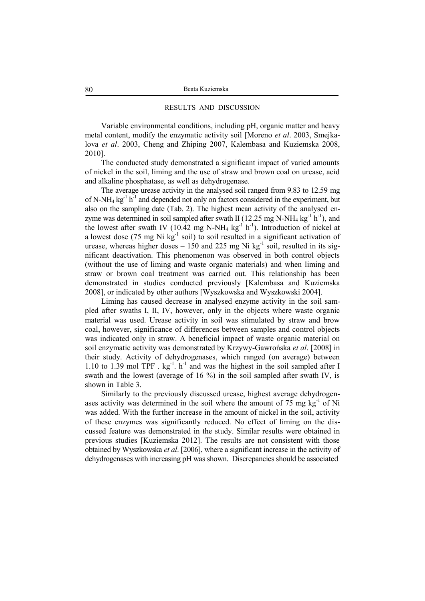### RESULTS AND DISCUSSION

Variable environmental conditions, including pH, organic matter and heavy metal content, modify the enzymatic activity soil [Moreno *et al*. 2003, Smejkalova *et al*. 2003, Cheng and Zhiping 2007, Kalembasa and Kuziemska 2008, 2010].

The conducted study demonstrated a significant impact of varied amounts of nickel in the soil, liming and the use of straw and brown coal on urease, acid and alkaline phosphatase, as well as dehydrogenase.

The average urease activity in the analysed soil ranged from 9.83 to 12.59 mg of N-NH<sub>4</sub>  $\text{kg}^{-1}$  h<sup>-1</sup> and depended not only on factors considered in the experiment, but also on the sampling date (Tab. 2). The highest mean activity of the analysed enzyme was determined in soil sampled after swath II (12.25 mg N-NH<sub>4</sub> kg<sup>-1</sup> h<sup>-1</sup>), and the lowest after swath IV (10.42 mg N-NH<sub>4</sub>  $kg^{-1} h^{-1}$ ). Introduction of nickel at a lowest dose  $(75 \text{ mg Ni kg}^{-1} \text{ soil})$  to soil resulted in a significant activation of urease, whereas higher doses  $-150$  and 225 mg Ni kg<sup>-1</sup> soil, resulted in its significant deactivation. This phenomenon was observed in both control objects (without the use of liming and waste organic materials) and when liming and straw or brown coal treatment was carried out. This relationship has been demonstrated in studies conducted previously [Kalembasa and Kuziemska 2008], or indicated by other authors [Wyszkowska and Wyszkowski 2004].

Liming has caused decrease in analysed enzyme activity in the soil sampled after swaths I, II, IV, however, only in the objects where waste organic material was used. Urease activity in soil was stimulated by straw and brow coal, however, significance of differences between samples and control objects was indicated only in straw. A beneficial impact of waste organic material on soil enzymatic activity was demonstrated by Krzywy-Gawrońska *et al*. [2008] in their study. Activity of dehydrogenases, which ranged (on average) between 1.10 to 1.39 mol TPF  $\cdot$  kg<sup>-1</sup>.  $h^{-1}$  and was the highest in the soil sampled after I swath and the lowest (average of 16 %) in the soil sampled after swath IV, is shown in Table 3.

Similarly to the previously discussed urease, highest average dehydrogenases activity was determined in the soil where the amount of  $75 \text{ mg kg}^{-1}$  of Ni was added. With the further increase in the amount of nickel in the soil, activity of these enzymes was significantly reduced. No effect of liming on the discussed feature was demonstrated in the study. Similar results were obtained in previous studies [Kuziemska 2012]. The results are not consistent with those obtained by Wyszkowska *et al*. [2006], where a significant increase in the activity of dehydrogenases with increasing pH was shown. Discrepancies should be associated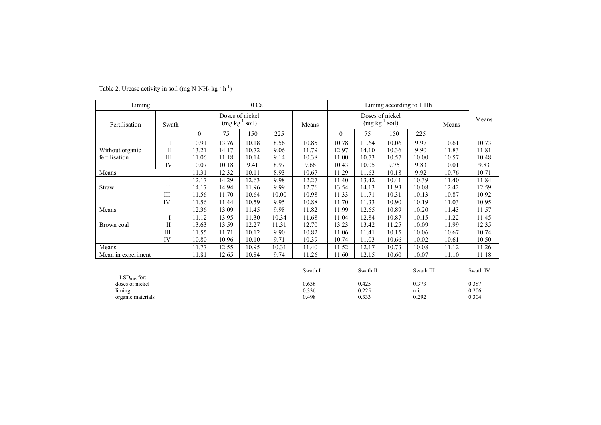| Liming                      |              |          |       | 0 Ca                                |       |                | Liming according to 1 Hh            |                |       |               |       |                |
|-----------------------------|--------------|----------|-------|-------------------------------------|-------|----------------|-------------------------------------|----------------|-------|---------------|-------|----------------|
| Fertilisation<br>Swath      |              |          |       | Doses of nickel<br>$(mg kg-1 soil)$ |       | Means          | Doses of nickel<br>$(mg kg-1 soil)$ |                |       |               | Means | Means          |
|                             |              | $\theta$ | 75    | 150                                 | 225   |                | $\theta$                            | 75             | 150   | 225           |       |                |
|                             |              | 10.91    | 13.76 | 10.18                               | 8.56  | 10.85          | 10.78                               | 11.64          | 10.06 | 9.97          | 10.61 | 10.73          |
| Without organic             | $\mathbf{I}$ | 13.21    | 14.17 | 10.72                               | 9.06  | 11.79          | 12.97                               | 14.10          | 10.36 | 9.90          | 11.83 | 11.81          |
| fertilisation               | III          | 11.06    | 11.18 | 10.14                               | 9.14  | 10.38          | 11.00                               | 10.73          | 10.57 | 10.00         | 10.57 | 10.48          |
|                             | IV           | 10.07    | 10.18 | 9.41                                | 8.97  | 9.66           | 10.43                               | 10.05          | 9.75  | 9.83          | 10.01 | 9.83           |
| Means                       |              | 11.31    | 12.32 | 10.11                               | 8.93  | 10.67          | 11.29                               | 11.63          | 10.18 | 9.92          | 10.76 | 10.71          |
|                             | I            | 12.17    | 14.29 | 12.63                               | 9.98  | 12.27          | 11.40                               | 13.42          | 10.41 | 10.39         | 11.40 | 11.84          |
| Straw                       | $\mathbf{I}$ | 14.17    | 14.94 | 11.96                               | 9.99  | 12.76          | 13.54                               | 14.13          | 11.93 | 10.08         | 12.42 | 12.59          |
|                             | Ш            | 11.56    | 11.70 | 10.64                               | 10.00 | 10.98          | 11.33                               | 11.71          | 10.31 | 10.13         | 10.87 | 10.92          |
|                             | IV           | 11.56    | 11.44 | 10.59                               | 9.95  | 10.88          | 11.70                               | 11.33          | 10.90 | 10.19         | 11.03 | 10.95          |
| Means                       |              | 12.36    | 13.09 | 11.45                               | 9.98  | 11.82          | 11.99                               | 12.65          | 10.89 | 10.20         | 11.43 | 11.57          |
|                             | I            | 11.12    | 13.95 | 11.30                               | 10.34 | 11.68          | 11.04                               | 12.84          | 10.87 | 10.15         | 11.22 | 11.45          |
| Brown coal                  | $\mathbf{I}$ | 13.63    | 13.59 | 12.27                               | 11.31 | 12.70          | 13.23                               | 13.42          | 11.25 | 10.09         | 11.99 | 12.35          |
|                             | Ш            | 11.55    | 11.71 | 10.12                               | 9.90  | 10.82          | 11.06                               | 11.41          | 10.15 | 10.06         | 10.67 | 10.74          |
|                             | IV           | 10.80    | 10.96 | 10.10                               | 9.71  | 10.39          | 10.74                               | 11.03          | 10.66 | 10.02         | 10.61 | 10.50          |
| Means                       |              | 11.77    | 12.55 | 10.95                               | 10.31 | 11.40          | 11.52                               | 12.17          | 10.73 | 10.08         | 11.12 | 11.26          |
| Mean in experiment          |              | 11.81    | 12.65 | 10.84                               | 9.74  | 11.26          | 11.60                               | 12.15          | 10.60 | 10.07         | 11.10 | 11.18          |
|                             |              |          |       |                                     |       |                |                                     |                |       |               |       |                |
|                             |              |          |       |                                     |       | Swath I        |                                     | Swath II       |       | Swath III     |       | Swath IV       |
| $LSD0.05$ for:              |              |          |       |                                     |       |                |                                     |                |       |               |       |                |
| doses of nickel             |              |          |       |                                     |       | 0.636<br>0.336 |                                     | 0.425<br>0.225 |       | 0.373<br>n.i. |       | 0.387<br>0.206 |
| liming<br>organic materials |              |          |       |                                     |       | 0.498          |                                     | 0.333          |       | 0.292         |       | 0.304          |
|                             |              |          |       |                                     |       |                |                                     |                |       |               |       |                |

Table 2. Urease activity in soil (mg N-NH<sub>4</sub> kg<sup>-1</sup> h<sup>-1</sup>)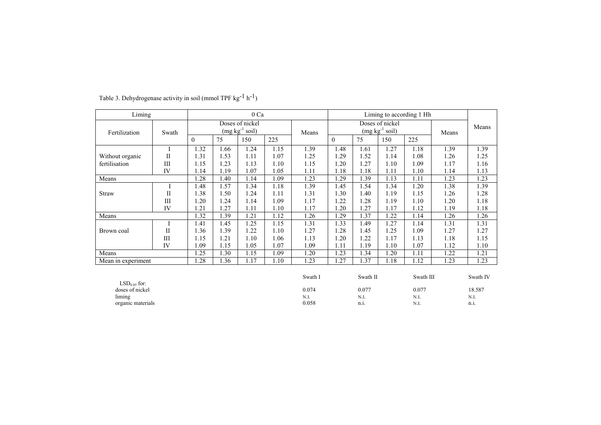| Liming             | 0 Ca           |                                     |      |      |       |                                     | Liming to according 1 Hh |          |      |           |       |          |
|--------------------|----------------|-------------------------------------|------|------|-------|-------------------------------------|--------------------------|----------|------|-----------|-------|----------|
| Fertilization      | Swath          | Doses of nickel<br>$(mg kg-1 soil)$ |      |      | Means | Doses of nickel<br>$(mg kg-1 soil)$ |                          |          |      | Means     | Means |          |
|                    |                | $\overline{0}$                      | 75   | 150  | 225   |                                     | $\theta$                 | 75       | 150  | 225       |       |          |
|                    |                | 1.32                                | 1.66 | 1.24 | 1.15  | 1.39                                | 1.48                     | 1.61     | 1.27 | 1.18      | 1.39  | 1.39     |
| Without organic    | $\mathbf{I}$   | 1.31                                | 1.53 | 1.11 | 1.07  | 1.25                                | 1.29                     | 1.52     | 1.14 | 1.08      | 1.26  | 1.25     |
| fertilisation      | $\mathbf{III}$ | 1.15                                | 1.23 | 1.13 | 1.10  | 1.15                                | 1.20                     | 1.27     | 1.10 | 1.09      | 1.17  | 1.16     |
|                    | IV             | 1.14                                | 1.19 | 1.07 | 1.05  | 1.11                                | 1.18                     | 1.18     | 1.11 | 1.10      | 1.14  | 1.13     |
| Means              |                | 1.28                                | 1.40 | 1.14 | 1.09  | 1.23                                | 1.29                     | 1.39     | 1.13 | 1.11      | 1.23  | 1.23     |
|                    | I              | 1.48                                | 1.57 | 1.34 | 1.18  | 1.39                                | 1.45                     | 1.54     | 1.34 | 1.20      | 1.38  | 1.39     |
| <b>Straw</b>       | П              | 1.38                                | 1.50 | 1.24 | 1.11  | 1.31                                | 1.30                     | 1.40     | 1.19 | 1.15      | 1.26  | 1.28     |
|                    | $\mathbf{III}$ | 1.20                                | 1.24 | 1.14 | 1.09  | 1.17                                | 1.22                     | 1.28     | 1.19 | 1.10      | 1.20  | 1.18     |
|                    | IV             | 1.21                                | 1.27 | 1.11 | 1.10  | 1.17                                | 1.20                     | 1.27     | 1.17 | 1.12      | 1.19  | 1.18     |
| Means              |                | 1.32                                | 1.39 | 1.21 | 1.12  | 1.26                                | 1.29                     | 1.37     | 1.22 | 1.14      | 1.26  | 1.26     |
|                    | Ι              | 1.41                                | 1.45 | 1.25 | 1.15  | 1.31                                | 1.33                     | 1.49     | 1.27 | 1.14      | 1.31  | 1.31     |
| Brown coal         | $\mathbf{H}$   | 1.36                                | 1.39 | 1.22 | 1.10  | 1.27                                | 1.28                     | 1.45     | 1.25 | 1.09      | 1.27  | 1.27     |
|                    | III            | 1.15                                | 1.21 | 1.10 | 1.06  | 1.13                                | 1.20                     | 1.22     | 1.17 | 1.13      | 1.18  | 1.15     |
|                    | IV             | 1.09                                | 1.15 | 1.05 | 1.07  | 1.09                                | 1.11                     | 1.19     | 1.10 | 1.07      | 1.12  | 1.10     |
| Means              |                | 1.25                                | 1.30 | 1.15 | 1.09  | 1.20                                | 1.23                     | 1.34     | 1.20 | 1.11      | 1.22  | 1.21     |
| Mean in experiment |                | 1.28                                | 1.36 | 1.17 | 1.10  | 1.23                                | 1.27                     | 1.37     | 1.18 | 1.12      | 1.23  | 1.23     |
|                    |                |                                     |      |      |       |                                     |                          |          |      |           |       |          |
|                    |                |                                     |      |      |       | Swath I                             |                          | Swath II |      | Swath III |       | Swath IV |
| $LSD0.05$ for:     |                |                                     |      |      |       |                                     |                          |          |      |           |       |          |
| doses of nickel    |                |                                     |      |      |       | 0.074                               |                          | 0.077    |      | 0.077     |       | 18.587   |
| liming             |                |                                     |      |      |       | N.I.                                |                          | N.I.     |      | N.I.      |       | N.I.     |
| organic materials  |                |                                     |      |      |       | 0.058                               |                          | n.i.     |      | N.I.      |       | n.i.     |

# Table 3. Dehydrogenase activity in soil (mmol TPF  $kg^{-1} h^{-1}$ )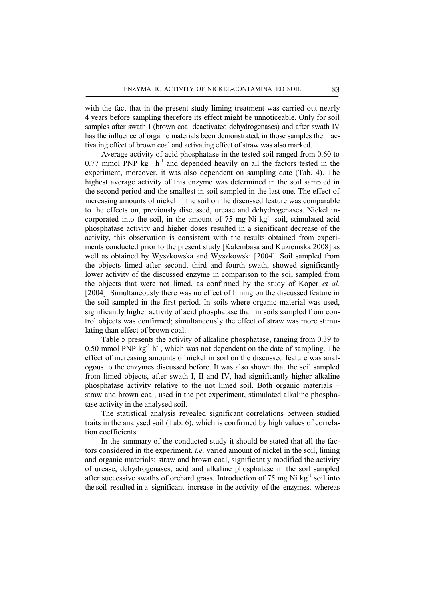with the fact that in the present study liming treatment was carried out nearly 4 years before sampling therefore its effect might be unnoticeable. Only for soil samples after swath I (brown coal deactivated dehydrogenases) and after swath IV has the influence of organic materials been demonstrated, in those samples the inactivating effect of brown coal and activating effect of straw was also marked.

Average activity of acid phosphatase in the tested soil ranged from 0.60 to  $0.77$  mmol PNP kg<sup>-1</sup> h<sup>-1</sup> and depended heavily on all the factors tested in the experiment, moreover, it was also dependent on sampling date (Tab. 4). The highest average activity of this enzyme was determined in the soil sampled in the second period and the smallest in soil sampled in the last one. The effect of increasing amounts of nickel in the soil on the discussed feature was comparable to the effects on, previously discussed, urease and dehydrogenases. Nickel incorporated into the soil, in the amount of  $75 \text{ mg Ni kg}^{-1}$  soil, stimulated acid phosphatase activity and higher doses resulted in a significant decrease of the activity, this observation is consistent with the results obtained from experiments conducted prior to the present study [Kalembasa and Kuziemska 2008] as well as obtained by Wyszkowska and Wyszkowski [2004]. Soil sampled from the objects limed after second, third and fourth swath, showed significantly lower activity of the discussed enzyme in comparison to the soil sampled from the objects that were not limed, as confirmed by the study of Koper *et al*. [2004]. Simultaneously there was no effect of liming on the discussed feature in the soil sampled in the first period. In soils where organic material was used, significantly higher activity of acid phosphatase than in soils sampled from control objects was confirmed; simultaneously the effect of straw was more stimulating than effect of brown coal.

Table 5 presents the activity of alkaline phosphatase, ranging from 0.39 to 0.50 mmol PNP  $\text{kg}^{-1}$  h<sup>-1</sup>, which was not dependent on the date of sampling. The effect of increasing amounts of nickel in soil on the discussed feature was analogous to the enzymes discussed before. It was also shown that the soil sampled from limed objects, after swath I, II and IV, had significantly higher alkaline phosphatase activity relative to the not limed soil. Both organic materials – straw and brown coal, used in the pot experiment, stimulated alkaline phosphatase activity in the analysed soil.

The statistical analysis revealed significant correlations between studied traits in the analysed soil (Tab. 6), which is confirmed by high values of correlation coefficients.

In the summary of the conducted study it should be stated that all the factors considered in the experiment, *i.e.* varied amount of nickel in the soil, liming and organic materials: straw and brown coal, significantly modified the activity of urease, dehydrogenases, acid and alkaline phosphatase in the soil sampled after successive swaths of orchard grass. Introduction of 75 mg Ni kg<sup>-1</sup> soil into the soil resulted in a significant increase in the activity of the enzymes, whereas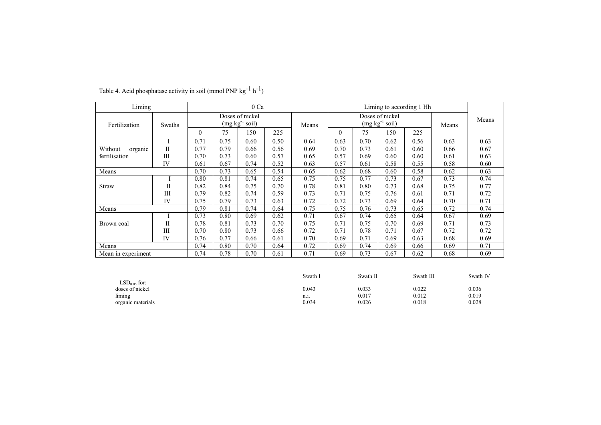| Liming             |        |          |      | 0 Ca             |      |       |                 | Liming to according 1 Hh |                  |      |       |       |
|--------------------|--------|----------|------|------------------|------|-------|-----------------|--------------------------|------------------|------|-------|-------|
|                    |        |          |      | Doses of nickel  |      |       | Doses of nickel |                          |                  |      |       | Means |
| Fertilization      | Swaths |          |      | $(mg kg-1 soil)$ |      | Means |                 |                          | $(mg kg-1 soil)$ |      | Means |       |
|                    |        | $\theta$ | 75   | 150              | 225  |       | $\Omega$        | 75                       | 150              | 225  |       |       |
|                    |        | 0.71     | 0.75 | 0.60             | 0.50 | 0.64  | 0.63            | 0.70                     | 0.62             | 0.56 | 0.63  | 0.63  |
| Without<br>organic | П      | 0.77     | 0.79 | 0.66             | 0.56 | 0.69  | 0.70            | 0.73                     | 0.61             | 0.60 | 0.66  | 0.67  |
| fertilisation      | Ш      | 0.70     | 0.73 | 0.60             | 0.57 | 0.65  | 0.57            | 0.69                     | 0.60             | 0.60 | 0.61  | 0.63  |
|                    | IV     | 0.61     | 0.67 | 0.74             | 0.52 | 0.63  | 0.57            | 0.61                     | 0.58             | 0.55 | 0.58  | 0.60  |
| Means              |        | 0.70     | 0.73 | 0.65             | 0.54 | 0.65  | 0.62            | 0.68                     | 0.60             | 0.58 | 0.62  | 0.63  |
|                    |        | 0.80     | 0.81 | 0.74             | 0.65 | 0.75  | 0.75            | 0.77                     | 0.73             | 0.67 | 0.73  | 0.74  |
| <b>Straw</b>       | П      | 0.82     | 0.84 | 0.75             | 0.70 | 0.78  | 0.81            | 0.80                     | 0.73             | 0.68 | 0.75  | 0.77  |
|                    | III    | 0.79     | 0.82 | 0.74             | 0.59 | 0.73  | 0.71            | 0.75                     | 0.76             | 0.61 | 0.71  | 0.72  |
|                    | IV     | 0.75     | 0.79 | 0.73             | 0.63 | 0.72  | 0.72            | 0.73                     | 0.69             | 0.64 | 0.70  | 0.71  |
| Means              |        | 0.79     | 0.81 | 0.74             | 0.64 | 0.75  | 0.75            | 0.76                     | 0.73             | 0.65 | 0.72  | 0.74  |
|                    |        | 0.73     | 0.80 | 0.69             | 0.62 | 0.71  | 0.67            | 0.74                     | 0.65             | 0.64 | 0.67  | 0.69  |
| Brown coal         | П      | 0.78     | 0.81 | 0.73             | 0.70 | 0.75  | 0.71            | 0.75                     | 0.70             | 0.69 | 0.71  | 0.73  |
|                    | Ш      | 0.70     | 0.80 | 0.73             | 0.66 | 0.72  | 0.71            | 0.78                     | 0.71             | 0.67 | 0.72  | 0.72  |
|                    | IV     | 0.76     | 0.77 | 0.66             | 0.61 | 0.70  | 0.69            | 0.71                     | 0.69             | 0.63 | 0.68  | 0.69  |
| Means              |        | 0.74     | 0.80 | 0.70             | 0.64 | 0.72  | 0.69            | 0.74                     | 0.69             | 0.66 | 0.69  | 0.71  |
| Mean in experiment |        | 0.74     | 0.78 | 0.70             | 0.61 | 0.71  | 0.69            | 0.73                     | 0.67             | 0.62 | 0.68  | 0.69  |

Table 4. Acid phosphatase activity in soil (mmol PNP kg<sup>-1</sup> h<sup>-1</sup>)

|                   | Swath 1  | Swath II | Swath III | Swath IV |
|-------------------|----------|----------|-----------|----------|
| $LSD0.05$ for:    |          |          |           |          |
| doses of nickel   | 0.043    | 0.033    | 0.022     | 0.036    |
| liming            | $n_{.1}$ | 0.017    | 0.012     | 0.019    |
| organic materials | 0.034    | 0.026    | 0.018     | 0.028    |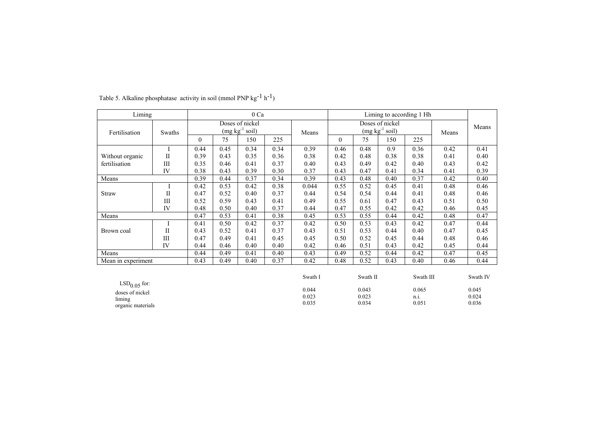| Liming             | 0 Ca         |                                     |      |      |       |                                     | Liming to according 1 Hh |          |      |           |       |          |
|--------------------|--------------|-------------------------------------|------|------|-------|-------------------------------------|--------------------------|----------|------|-----------|-------|----------|
| Fertilisation      | Swaths       | Doses of nickel<br>$(mg kg-1 soil)$ |      |      | Means | Doses of nickel<br>$(mg kg-1 soil)$ |                          |          |      | Means     | Means |          |
|                    |              | $\theta$                            | 75   | 150  | 225   |                                     | $\theta$                 | 75       | 150  | 225       |       |          |
|                    | I            | 0.44                                | 0.45 | 0.34 | 0.34  | 0.39                                | 0.46                     | 0.48     | 0.9  | 0.36      | 0.42  | 0.41     |
| Without organic    | $\mathbf{I}$ | 0.39                                | 0.43 | 0.35 | 0.36  | 0.38                                | 0.42                     | 0.48     | 0.38 | 0.38      | 0.41  | 0.40     |
| fertilisation      | III          | 0.35                                | 0.46 | 0.41 | 0.37  | 0.40                                | 0.43                     | 0.49     | 0.42 | 0.40      | 0.43  | 0.42     |
|                    | IV           | 0.38                                | 0.43 | 0.39 | 0.30  | 0.37                                | 0.43                     | 0.47     | 0.41 | 0.34      | 0.41  | 0.39     |
| Means              |              | 0.39                                | 0.44 | 0.37 | 0.34  | 0.39                                | 0.43                     | 0.48     | 0.40 | 0.37      | 0.42  | 0.40     |
|                    | Ι            | 0.42                                | 0.53 | 0.42 | 0.38  | 0.044                               | 0.55                     | 0.52     | 0.45 | 0.41      | 0.48  | 0.46     |
| <b>Straw</b>       | $\mathbf{I}$ | 0.47                                | 0.52 | 0.40 | 0.37  | 0.44                                | 0.54                     | 0.54     | 0.44 | 0.41      | 0.48  | 0.46     |
|                    | III          | 0.52                                | 0.59 | 0.43 | 0.41  | 0.49                                | 0.55                     | 0.61     | 0.47 | 0.43      | 0.51  | 0.50     |
|                    | IV           | 0.48                                | 0.50 | 0.40 | 0.37  | 0.44                                | 0.47                     | 0.55     | 0.42 | 0.42      | 0.46  | 0.45     |
| Means              |              | 0.47                                | 0.53 | 0.41 | 0.38  | 0.45                                | 0.53                     | 0.55     | 0.44 | 0.42      | 0.48  | 0.47     |
|                    | Ι            | 0.41                                | 0.50 | 0.42 | 0.37  | 0.42                                | 0.50                     | 0.53     | 0.43 | 0.42      | 0.47  | 0.44     |
| Brown coal         | $\mathbf{I}$ | 0.43                                | 0.52 | 0.41 | 0.37  | 0.43                                | 0.51                     | 0.53     | 0.44 | 0.40      | 0.47  | 0.45     |
|                    | Ш            | 0.47                                | 0.49 | 0.41 | 0.45  | 0.45                                | 0.50                     | 0.52     | 0.45 | 0.44      | 0.48  | 0.46     |
|                    | IV           | 0.44                                | 0.46 | 0.40 | 0.40  | 0.42                                | 0.46                     | 0.51     | 0.43 | 0.42      | 0.45  | 0.44     |
| Means              |              | 0.44                                | 0.49 | 0.41 | 0.40  | 0.43                                | 0.49                     | 0.52     | 0.44 | 0.42      | 0.47  | 0.45     |
| Mean in experiment |              | 0.43                                | 0.49 | 0.40 | 0.37  | 0.42                                | 0.48                     | 0.52     | 0.43 | 0.40      | 0.46  | 0.44     |
|                    |              |                                     |      |      |       |                                     |                          |          |      |           |       |          |
|                    |              |                                     |      |      |       | Swath I                             |                          | Swath II |      | Swath III |       | Swath IV |
| $LSD0.05$ for:     |              |                                     |      |      |       |                                     |                          |          |      |           |       |          |
| doses of nickel    |              |                                     |      |      |       | 0.044                               |                          | 0.043    |      | 0.065     |       | 0.045    |
| liming             |              |                                     |      |      |       | 0.023                               |                          | 0.023    |      | n.i.      |       | 0.024    |
| organic materials  |              |                                     |      |      |       | 0.035                               |                          | 0.034    |      | 0.051     |       | 0.036    |

Table 5. Alkaline phosphatase activity in soil (mmol PNP kg<sup>-1</sup> h<sup>-1</sup>)

organic materials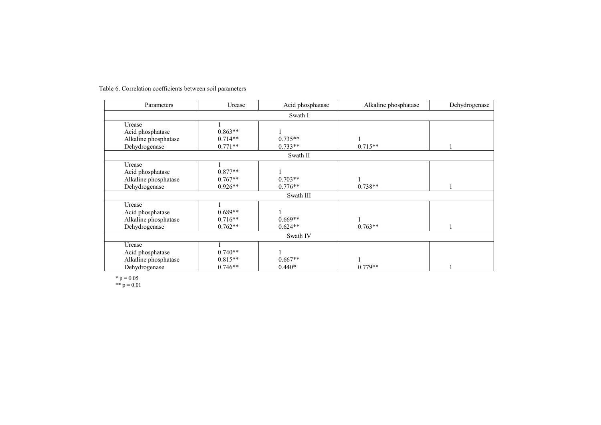| Parameters           | Urease    | Acid phosphatase | Alkaline phosphatase | Dehydrogenase |  |  |  |  |  |  |  |  |
|----------------------|-----------|------------------|----------------------|---------------|--|--|--|--|--|--|--|--|
|                      | Swath I   |                  |                      |               |  |  |  |  |  |  |  |  |
| Urease               |           |                  |                      |               |  |  |  |  |  |  |  |  |
| Acid phosphatase     | $0.863**$ |                  |                      |               |  |  |  |  |  |  |  |  |
| Alkaline phosphatase | $0.714**$ | $0.735**$        |                      |               |  |  |  |  |  |  |  |  |
| Dehydrogenase        | $0.771**$ | $0.733**$        | $0.715**$            |               |  |  |  |  |  |  |  |  |
|                      | Swath II  |                  |                      |               |  |  |  |  |  |  |  |  |
| Urease               |           |                  |                      |               |  |  |  |  |  |  |  |  |
| Acid phosphatase     | $0.877**$ |                  |                      |               |  |  |  |  |  |  |  |  |
| Alkaline phosphatase | $0.767**$ | $0.703**$        |                      |               |  |  |  |  |  |  |  |  |
| Dehydrogenase        | $0.926**$ | $0.776**$        | $0.738**$            |               |  |  |  |  |  |  |  |  |
|                      | Swath III |                  |                      |               |  |  |  |  |  |  |  |  |
| Urease               |           |                  |                      |               |  |  |  |  |  |  |  |  |
| Acid phosphatase     | $0.689**$ |                  |                      |               |  |  |  |  |  |  |  |  |
| Alkaline phosphatase | $0.716**$ | $0.669**$        |                      |               |  |  |  |  |  |  |  |  |
| Dehydrogenase        | $0.762**$ | $0.624**$        | $0.763**$            |               |  |  |  |  |  |  |  |  |
|                      | Swath IV  |                  |                      |               |  |  |  |  |  |  |  |  |
| Urease               |           |                  |                      |               |  |  |  |  |  |  |  |  |
| Acid phosphatase     | $0.740**$ |                  |                      |               |  |  |  |  |  |  |  |  |
| Alkaline phosphatase | $0.815**$ | $0.667**$        |                      |               |  |  |  |  |  |  |  |  |
| Dehydrogenase        | $0.746**$ | $0.440*$         | $0.779**$            |               |  |  |  |  |  |  |  |  |

Table 6. Correlation coefficients between soil parameters

 $*$  p = 0.05

\*\*  $p = 0.01$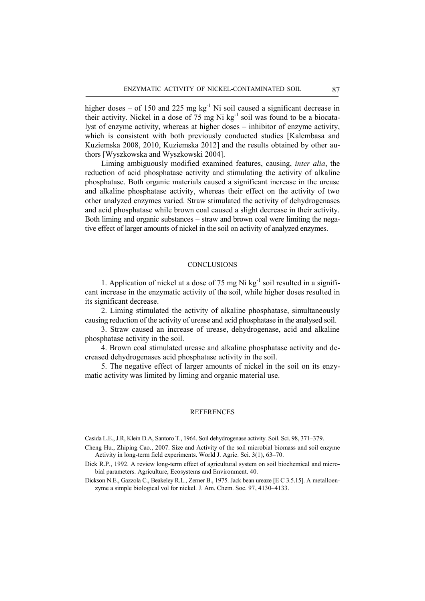higher doses – of 150 and 225 mg  $kg^{-1}$  Ni soil caused a significant decrease in their activity. Nickel in a dose of  $75 \text{ mg Ni kg}^{-1}$  soil was found to be a biocatalyst of enzyme activity, whereas at higher doses – inhibitor of enzyme activity, which is consistent with both previously conducted studies [Kalembasa and Kuziemska 2008, 2010, Kuziemska 2012] and the results obtained by other authors [Wyszkowska and Wyszkowski 2004].

Liming ambiguously modified examined features, causing, *inter alia*, the reduction of acid phosphatase activity and stimulating the activity of alkaline phosphatase. Both organic materials caused a significant increase in the urease and alkaline phosphatase activity, whereas their effect on the activity of two other analyzed enzymes varied. Straw stimulated the activity of dehydrogenases and acid phosphatase while brown coal caused a slight decrease in their activity. Both liming and organic substances – straw and brown coal were limiting the negative effect of larger amounts of nickel in the soil on activity of analyzed enzymes.

### **CONCLUSIONS**

1. Application of nickel at a dose of 75 mg Ni  $kg^{-1}$  soil resulted in a significant increase in the enzymatic activity of the soil, while higher doses resulted in its significant decrease.

2. Liming stimulated the activity of alkaline phosphatase, simultaneously causing reduction of the activity of urease and acid phosphatase in the analysed soil.

3. Straw caused an increase of urease, dehydrogenase, acid and alkaline phosphatase activity in the soil.

4. Brown coal stimulated urease and alkaline phosphatase activity and decreased dehydrogenases acid phosphatase activity in the soil.

5. The negative effect of larger amounts of nickel in the soil on its enzymatic activity was limited by liming and organic material use.

## **REFERENCES**

Casida L.E., J.R, Klein D.A, Santoro T., 1964. Soil dehydrogenase activity. Soil. Sci. 98, 371–379.

- Cheng Hu., Zhiping Cao., 2007. Size and Activity of the soil microbial biomass and soil enzyme Activity in long-term field experiments. World J. Agric. Sci. 3(1), 63–70.
- Dick R.P., 1992. A review long-term effect of agricultural system on soil biochemical and microbial parameters. Agriculture, Ecosystems and Environment. 40.
- Dickson N.E., Gazzola C., Beakeley R.L., Zerner B., 1975. Jack bean ureaze [E C 3.5.15]. A metalloenzyme a simple biological vol for nickel. J. Am. Chem. Soc. 97, 4130–4133.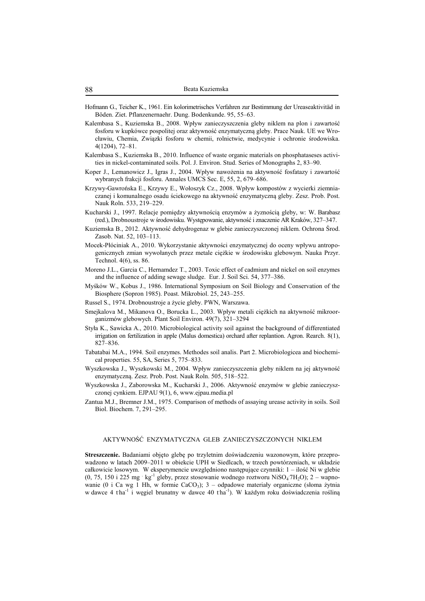- Hofmann G., Teicher K., 1961. Ein kolorimetrisches Verfahren zur Bestimmung der Ureaseaktivitäd in Böden. Ziet. Pflanzenernaehr. Dung. Bodenkunde. 95, 55–63.
- Kalembasa S., Kuziemska B., 2008. Wpływ zanieczyszczenia gleby niklem na plon i zawartość fosforu w kupkówce pospolitej oraz aktywność enzymatyczną gleby. Prace Nauk. UE we Wrocławiu, Chemia, Związki fosforu w chemii, rolnictwie, medycynie i ochronie środowiska. 4(1204), 72–81.
- Kalembasa S., Kuziemska B., 2010. Influence of waste organic materials on phosphataseses activities in nickel-contaminated soils. Pol. J. Environ. Stud. Series of Monographs 2, 83–90.
- Koper J., Lemanowicz J., Igras J., 2004. Wpływ nawożenia na aktywność fosfatazy i zawartość wybranych frakcji fosforu. Annales UMCS Sec. E, 55, 2, 679–686.
- Krzywy-Gawrońska E., Krzywy E., Wołoszyk Cz., 2008. Wpływ kompostów z wycierki ziemniaczanej i komunalnego osadu ściekowego na aktywność enzymatyczną gleby. Zesz. Prob. Post. Nauk Roln. 533, 219–229.
- Kucharski J., 1997. Relacje pomiędzy aktywnością enzymów a żyznością gleby, w: W. Barabasz (red.), Drobnoustroje w środowisku. Występowanie, aktywność i znaczenie AR Kraków, 327–347.
- Kuziemska B., 2012. Aktywność dehydrogenaz w glebie zanieczyszczonej niklem. Ochrona Środ. Zasob. Nat. 52, 103–113.
- Mocek-Płóciniak A., 2010. Wykorzystanie aktywności enzymatycznej do oceny wpływu antropogenicznych zmian wywołanych przez metale ciężkie w środowisku glebowym. Nauka Przyr. Technol. 4(6), ss. 86.
- Moreno J.L., Garcia C., Hernamdez T., 2003. Toxic effect of cadmium and nickel on soil enzymes and the influence of adding sewage sludge. Eur. J. Soil Sci. 54, 377–386.
- Myśków W., Kobus J., 1986. International Symposium on Soil Biology and Conservation of the Biosphere (Sopron 1985). Poast. Mikrobiol. 25, 243–255.
- Russel S., 1974. Drobnoustroje a życie gleby. PWN, Warszawa.
- Smejkalova M., Mikanova O., Borucka L., 2003. Wpływ metali ciężkich na aktywność mikroorganizmów glebowych. Plant Soil Environ. 49(7), 321–3294
- Styła K., Sawicka A., 2010. Microbiological activity soil against the background of differentiated irrigation on fertilization in apple (Malus domestica) orchard after replantion. Agron. Rearch. 8(1), 827–836.
- Tabatabai M.A., 1994. Soil enzymes. Methodes soil analis. Part 2. Microbiologicea and biochemical properties. 55, SA, Series 5, 775–833.
- Wyszkowska J., Wyszkowski M., 2004. Wpływ zanieczyszczenia gleby niklem na jej aktywność enzymatyczną. Zesz. Prob. Post. Nauk Roln. 505, 518–522.
- Wyszkowska J., Zaborowska M., Kucharski J., 2006. Aktywność enzymów w glebie zanieczyszczonej cynkiem. EJPAU 9(1), 6, www.ejpau.media.pl
- Zantua M.J., Bremner J.M., 1975. Comparison of methods of assaying urease activity in soils. Soil Biol. Biochem. 7, 291–295.

#### AKTYWNOŚĆ ENZYMATYCZNA GLEB ZANIECZYSZCZONYCH NIKLEM

**Streszczenie.** Badaniami objęto glebę po trzyletnim doświadczeniu wazonowym, które przeprowadzono w latach 2009–2011 w obiekcie UPH w Siedlcach, w trzech powtórzeniach, w układzie całkowicie losowym. W eksperymencie uwzględniono następujące czynniki: 1 – ilość Ni w glebie  $(0, 75, 150 \text{ i } 225 \text{ mg } \text{ kg}^{-1}$  gleby, przez stosowanie wodnego roztworu NiSO<sub>4</sub>7H<sub>2</sub>O); 2 – wapnowanie (0 i Ca wg 1 Hh, w formie CaCO<sub>3</sub>); 3 – odpadowe materiały organiczne (słoma żytnia w dawce 4 tha<sup>-1</sup> i węgiel brunatny w dawce 40 tha<sup>-1</sup>). W każdym roku doświadczenia rośliną